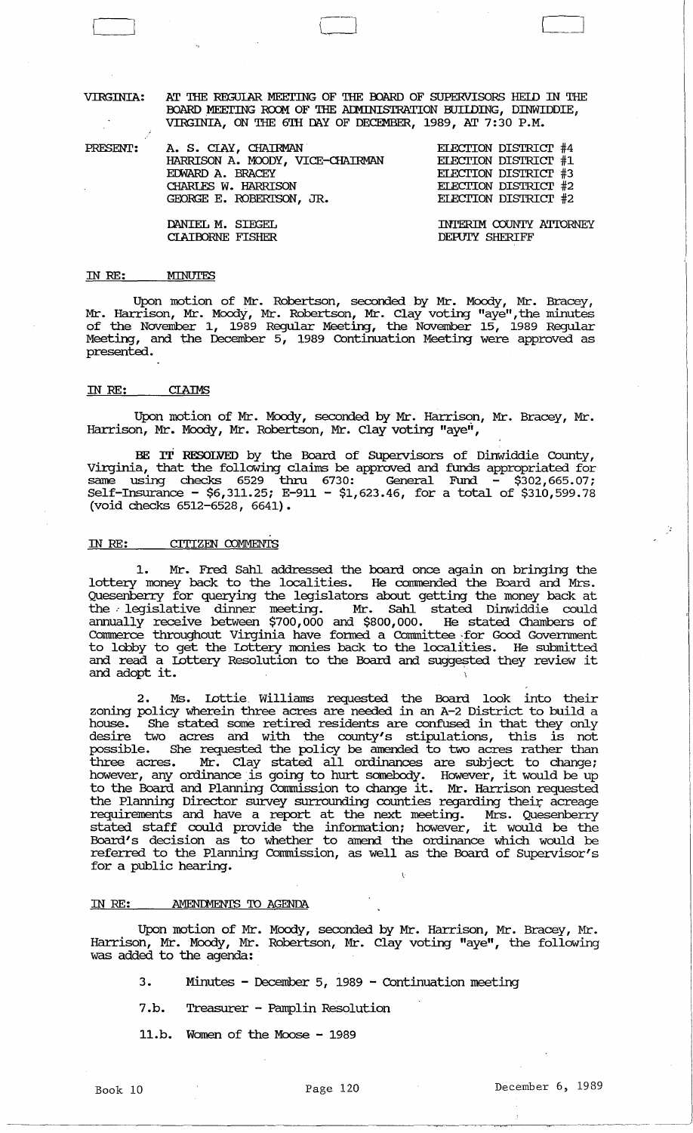VIRGINIA: Kr '!HE REGUIAR MEEl'ING OF THE OOARD OF SUPERVISORS HElD IN '!HE BOARD MEETING ROOM OF THE ADMINISTRATION BUILDING, DINWIDDIE, VIRGINIA, ON THE 6TH DAY OF DECEMBER, 1989, AT 7:30 P.M.

PRESENT: A. S. CIAY, CHAIRMAN HARRISON A. MOODY, VICE-CHAIRMAN EmARD A. BRACEY CHARLES W. HARRISON GEORGE E. ROBERISON, JR. DANIEL M. SIEGEL CIAIOORNE FISHER ELECTION DISTRICT #4 EIECI'ION DISTRIcr #1 EIEcrION DISTRIcr #3 EIEcrION DISTRIcr #2 EIEcrION DISTRIcr #2 INTERIM COUNTY ATTORNEY DEPUTY SHERIFF

# IN RE: MINUTES

 $\overline{\mathsf{L}}$ 

Upon motion of Mr. Robertson, seconded by Mr. Moody, Mr. Bracey, Mr. Harrison, Mr. Moody, Mr. Robertson, Mr. Clay voting "aye",the minutes of the November 1, 1989 Regular Meeting, the November 15, 1989 Regular Meeting, and the December 5, 1989 Continuation Meeting were approved as presented.

#### IN RE: **CLAIMS**

Upon motion of Mr. Moody, seconded by Mr. Harrison, Mr. Bracey, Mr. Harrison, Mr. Moody, Mr. Robertson, Mr. Clay voting "aye",

BE IT RESOLVED by the Board of SUpervisors of Dinwiddie County, virginia, that the following claims be approved and funds appropriated for same using checks  $6529$  thru  $6730$ : General Fund  $-$  \$302,665.07; Self-Insurance - \$6,311.25; E-911 - \$1,623.46, for a total of \$310,599.78 (void checks 6512-6528, 6641).

#### IN RE: CITIZEN COMMENTS

Mr. Fred Sahl addressed the board once again on bringing the lottery money back to the localities. He conunended the Board and Mrs. Quesenberry for querying the legislators about getting the money back at the .- legislative dinner meeting. Mr. Sahl stated Dinwiddie could annually receive between \$700,000 and \$800,000. He stated Chambers of Commerce throughout Virginia have formed a Committee for Good Government to lobby to get the lottery monies back to the localfties. He submitted and read a lottery Resolution to the Board and suggested they review it and adopt it.

2. Ms. lottie. Williams requested the Board look into their zoning policy wherein three acres are needed in an A-2 District to build a house. She stated some retired residents are confused in that they only house. She stated some retired residents are contused in the case of desire two acres and with the county's stipulations, this is not possible. She requested the policy be amended to two acres rather than three acres. Mr. Clay stated all ordinances are subject to change; differences. Mr. Clay stated all ordinances are subject to diange;<br>however, any ordinance is going to hurt somebody. However, it would be up to the Board and Planning Cormnission to change it. Mr. Harrison requested the Planning Director survey surrounding counties regarding their acreage requirements and have a report at the next meeting. Mrs. Quesenberry requirements and have a report at the next meeting. Mrs. Quesenberry<br>stated staff could provide the information; however, it would be the Board's decision as to whether to amend the ordinance which would be referred to the Planning Commission, as well as the Board of Supervisor's for a public hearing.

### IN RE: . . . AMENDMENTS TO AGENDA

Upon motion of Mr. Moody, seconded by Mr. Harrison, Mr. Bracey, Mr. Harrison, Mr • Moody , Mr. Robertson, Mr. Clay voting "aye", the following was added to the agenda:

- 3. Minutes December 5, 1989 Continuation meeting
- 7.b. Treasurer Pamplin Resolution
- 11.b. Women of the Moose 1989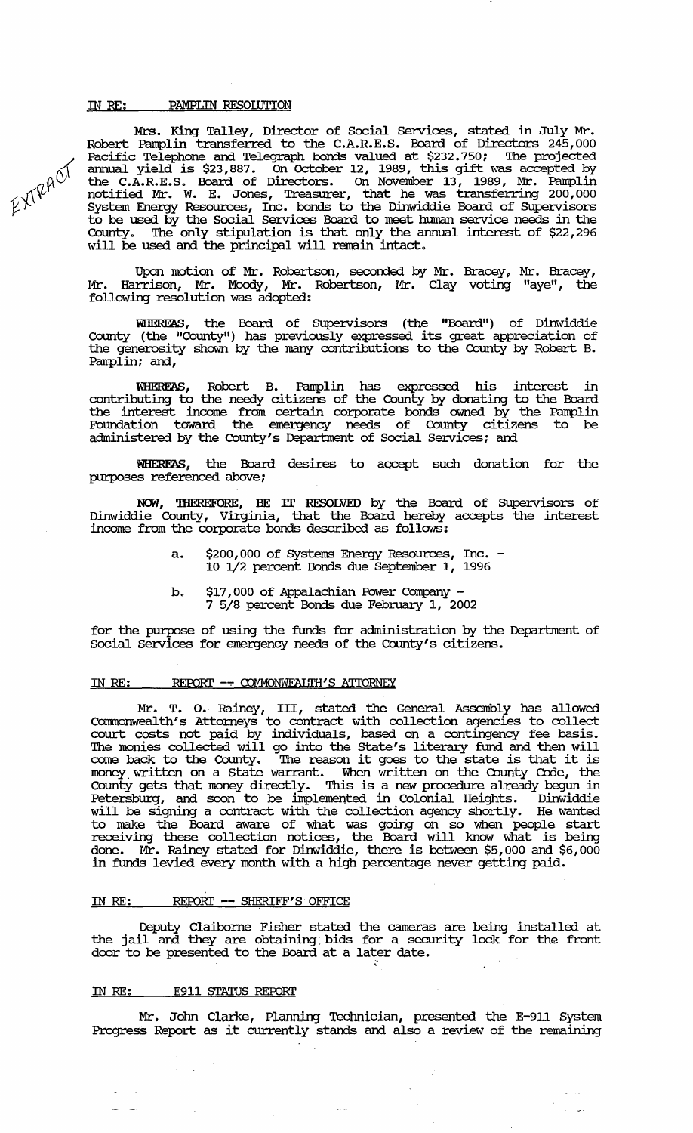# IN RE: PAMPLIN RESOLUTION

 $A^{\circ}$ 

 $\nu \sim$ 

Mrs. King Talley, Director of Social services, stated in July Mr. Robert Pamplin transferred to the C.A.R.E.S. Board of Directors 245,000 Pacific Telephone and Telegraph bonds valued at \$232.750; The projected annual yield is \$23,887. on October 12, 1989, this gift was accepted by the C.A.R.E.S. Board of Directors. on November 13, 1989, Mr. Pamplin notified Mr. W. E. Jones, Treasurer, that he was transferring 200,000 system Energy Resources, Inc. bonds to the Dinwiddie Board of SUpervisors to be used by the Social Services Board to meet human service needs in the County. The only stipulation is that only the annual interest of \$22,296 will be used and the principal will remain intact.

Upon motion of Mr. Robertson, seconded by Mr. Bracey, Mr. Bracey, Mr. Harrison, Mr. Moody, Mr. Robertson, Mr. Clay voting "aye", the following resolution was adopted:

WIIEREAS, the Board of SUpervisors (the "Board") of Dinwiddie County (the "County") has previously expressed its great appreciation of the generosity shown by the many contributions to the County by Robert B. Pamplin; and,

WHEREAS, Robert B. Pamplin has expressed his interest in contributing to the needy citizens of the County by donating to the Board the interest income from certain corporate bonds owned by the Pamplin Foundation toward the emergency needs of County citizens to be administered by the County's Department of Social Services; and

WIIEREAS, the Board desires to accept such donation for the purposes referenced above;

NCM, 'IHEREFORE, BE IT RESOLVED by the Board of SUpervisors of Dinwiddie County, Virginia, that the Board hereby accepts the interest income from the corporate bonds described as follows:

- a. \$200,000 of systems Energy Resources, Inc. 10 1/2 percent Bonds due September 1, 1996
- b. \$17,000 of Appalachian Power Company -<br>7 5/8 percent Bonds due February 1, 2002

for the purpose of using the funds for administration by the Department of Social services for emergency needs of the County's citizens.

# IN RE: REPORT -- COMMONWEAUTH'S ATTORNEY

Mr. T. o. Rainey, III, stated the General Assembly has allowed Cormnonwealth's Attorneys to contract with collection agencies to collect court costs not paid by individuals, based on a contingency fee basis. The monies collected will go into the state's literary fund and then will come back to the County. The reason it goes to the state is that it is money. written on a state warrant. When written on the County Code, the county gets that money directly. This is a new procedure already begun in Petersburg, and soon to be implemented in Colonial Heights. Dinwiddie will be signing a contract with the collection agency shortly. He wanted to make the Board aware of what was going on so when people start receiving these collection notices, the Board will know what is being done. Mr. Rainey stated for Dinwiddie, there is between \$5,000 and \$6,000 in funds levied every month with a high percentage never getting paid.

### IN RE: REPORT -- SHERIFF'S OFFICE

Deputy Claiborne Fisher stated the cameras are being installed at the jail and they are obtaining bids for a security lock for the front door to be presented to the Board at a later date.

### IN RE: E911 STATUS REPORT

 $\Delta \sim 10^{-10}$ 

Mr. Jolm Clarke, Planning Technician, presented the E-911 System Progress Report as it currently stands and also a review of the remaining

 $\zeta_{\rm{max}}$  .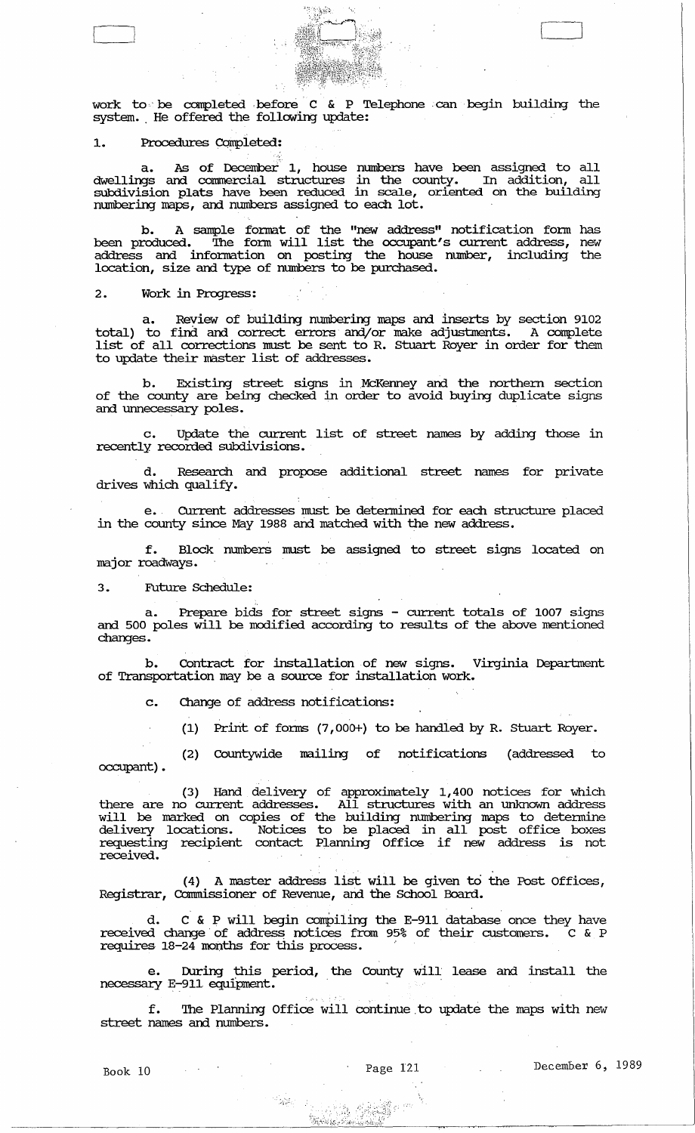

work to be completed before  $C$  & P Telephone can begin building the system. He offered the following update:

# 1. Procedures Completed:

a. As of December 1, house numbers have been assigned to all dwellings and connnercial structures in the county. In addition, all subdivision plats have been reduced in scale, oriented on the building numbering maps, and numbers assigned to each lot.

b. A sample fonnat of the "new address" notification fonn has been produced. The form will list the occupant's current address, new address and infonnation on posting the house number, including the location, size and type of numbers to be purchased.

# 2. Work in Progress:

a. Review of building numbering maps and inserts by section 9102 total) to find and correct errors and/or make adjustments. A complete list of all corrections must be sent to R. stuart Royer in order for them to update their master list of addresses.

b. Existing street signs in McKenney and the northern section of the county are being checked in order to avoid buying duplicate signs and unnecessary poles.

c. Update the current list of street names by adding those in recently recorded subdivisions.

d. Research and propose additional street names for private drives which qualify.

e., CUrrent addresses must be detennined for each structure placed in the county since May 1988 and matched with the new address.

f. Block numbers must be assigned to street signs located on major roadways.

# 3. Future Schedule:

a. Prepare bids for street signs - current totals of 1007 signs and 500 poles will be modified according to results of the above mentioned changes.

b. Contract for installation of new signs. Virginia Department of Transportation may be a source for installation work.

c. Change of address notifications:

(1) Print of fonus (7,000+) to be handled by R. stuart Royer.

occupant) . (2) Countywide mailing of notifications (addressed to

(3) Hand delivery of approximately 1,400 notices for which there are no current addresses. All structures with an unknown address will be marked on copies of the building numbering maps to determine delivery locations. Notices to be placed in all post office boxes requesting recipient contact Planning Office if new address is not received.

(4) A master address list will be given to the Post Offices, Registrar, Commissioner of Revenue, and the School Board.

d. C & P will begin compiling the E-911 database once they have received change of address notices from 95% of their customers. C & P requires 18-24 months for this process.'

e. During this period, the County will lease and install the requires 18-24 months for this process.<br>e. During this period, the County will<br>necessary E-911 equipment.

f. The Planning Office will continue to update the maps with new street names and numbers.

"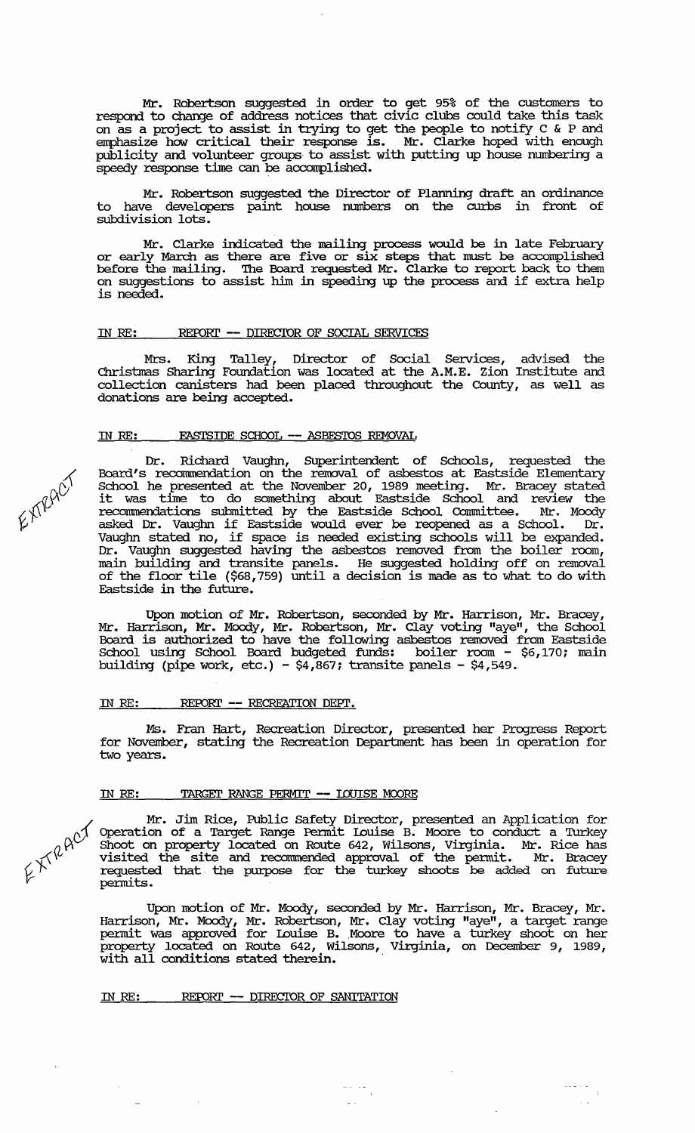Mr. Robertson suggested in order to get 95% of the customers to respond to change of address notices that civic clubs could take this task on as a project to assist in trying to get the people to notify C & P and emphasize how critical their response is. Mr. Clarke hoped with enough publicity and volunteer groups to assist with putting up house numbering a speedy response time can be accomplished.

Mr. Robertson suggested the Director of Planning draft an ordinance to have developers paint house numbers on the curbs in front of subdivision lots.

Mr. Clarke indicated the mailing process would be in late February or early March as there are five or six steps that must be accomplished before the mailing. The Board requested Mr. Clarke to report back to them on suggestions to assist him in speeding up the process and if extra help is needed.

# IN RE: REPORT -- DIRECIOR OF SOCIAL SERVICES

Mrs. King Talley, Director of Social Services, advised the Christmas Sharing Foundation was located at the A.M.E. Zion Institute and collection canisters had been placed throughout the County, as well as donations are being accepted.

#### IN RE: EASTSIDE SCHOOL **--** ASBFS'IDS REMOVAL



l

Dr. Richard Vaughn, Superintendent of Schools, requested the Board's reconunendation on the removal of asbestos at Eastside Elementary School he presented at the November 20, 1989 meeting. Mr. Bracey stated it was time to do something about Eastside School and review the reconunendations submitted by the Eastside School Conunittee. Mr. Moody asked Dr. Vaughn if Eastside would ever be reopened as a School. Dr. Vaughn stated no, if space is needed existing schools will be expanded. Dr. Vaughn suggested having the asbestos removed from the boiler room, main building and transite panels. He suggested holding off on removal of the floor tile (\$68,759) until a decision is made as to What to do with Eastside in the future.

Upon motion of Mr. Robertson, seconded by Mr. Harrison, Mr. Bracey, Mr. Harrison, Mr. Moody, Mr. Robertson, Mr. Clay voting "aye", the School Board is authorized to have the following asbestos removed from Eastside School using School Board budgeted funds: boiler room - \$6,170; main building (pipe work, etc.) -  $$4,667$ ; transite panels -  $$4,549$ .

# IN RE: REroRr **--** RECREATION DEPl'.

Ms. Fran Hart, Recreation Director, presented her Progress Report for November, stating the Recreation Department has been in operation for two years.

# IN RE: TARGEl' RANGE PERMIT **--** IOUISE MOORE

Mr. Jim Rice, Public Safety Director, presented an Application for  $\gamma$  Operation of a Target Range Permit Louise B. Moore to conduct a Turkey  $\beta_{\rm eff}$  Shoot on property located on Route 642, Wilsons, Virginia. Mr. Rice has *r\'\V* visited the site and reconunended approval of the permit. Mr. Bracey  $\left(\frac{1}{2}\right)$  requested that the purpose for the turkey shoots be added on future permits.

> Upon motion of Mr. Moody, seconded by Mr. Harrison, Mr. Bracey, Mr. Harrison, Mr. Moody, Mr. Robertson, Mr. Clay voting "aye", a target range permit was approved for Louise B •. Moore to have a turkey shoot on her property located on Route 642, Wilsons, Virginia, on December 9, 1989, property reduced on neater org, willeast,

> > $\frac{1}{\sqrt{2}}\frac{1}{\sqrt{2}}\frac{1}{\sqrt{2}}\frac{1}{\sqrt{2}}\frac{1}{\sqrt{2}}\frac{1}{\sqrt{2}}\frac{1}{\sqrt{2}}\frac{1}{\sqrt{2}}\frac{1}{\sqrt{2}}\frac{1}{\sqrt{2}}\frac{1}{\sqrt{2}}\frac{1}{\sqrt{2}}\frac{1}{\sqrt{2}}\frac{1}{\sqrt{2}}\frac{1}{\sqrt{2}}\frac{1}{\sqrt{2}}\frac{1}{\sqrt{2}}\frac{1}{\sqrt{2}}\frac{1}{\sqrt{2}}\frac{1}{\sqrt{2}}\frac{1}{\sqrt{2}}\frac{1}{\sqrt{2}}$

 $\omega$  .

 $\frac{1}{\sqrt{2}}\left( \frac{1}{\sqrt{2}}\right) \left( \frac{1}{\sqrt{2}}\right) \left( \frac{1}{\sqrt{2}}\right)$ 

# IN RE: REPORT -- DIRECTOR OF SANITATION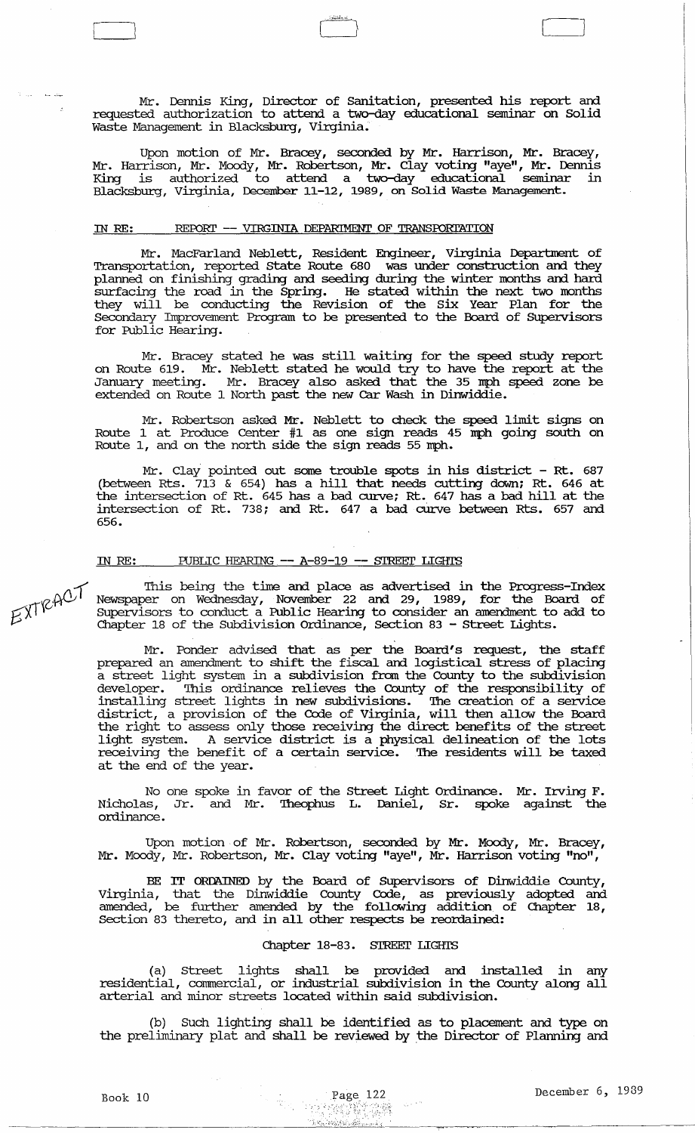Mr. Dennis King, Director of Sanitation, presented his report and requested authorization to attend a two-day educational seminar on Solid Waste Management in Blacksburg, Virginia.

[ Ll Cl

Upon motion of Mr. Bracey, seconded by Mr. Harrison, Mr. Bracey, Mr. Harrison, Mr. Moody, Mr. Robertson, Mr. Clay voting "aye", Mr. Dennis King is authorized to attend a two-day educational seminar in Blacksburg, Virginia, December 11-12, 1989, on Solid Waste Management.

# IN RE: REPORT -- VIRGINIA DEPARIMENT OF TRANSPORTATION

Mr. MacFarland Neblett, Resident Engineer, Virginia Deparbnent of Transportation, reported state Route 680 was under construction and they planned on finishing grading and seeding during the winter months and hard surfacing the road in the Spring. He stated within the next two months they will be conducting the Revision of the six Year Plan for the Secondary Improvement Program to be presented to the Board of SUpervisors for Public Hearing.

Mr. Bracey stated he was still waiting for the speed study report on Route 619. Mr. Neblett stated he would try to have the report at the January meeting. Mr. Bracey also asked that the 35 mph speed zone be extended on Route 1 North past the new Car Wash in Dinwiddie.

Mr. Robertson asked Mr. Neblett to check the speed limit signs on Route 1 at Produce Center #1 as one sign reads 45 mph going south on Route 1, and on the north side the sign reads 55 mph.

Mr. Clay pointed out some trouble spots in his district - Rt. 687 (between Rts. 713 & 654) has a hill that needs cutting down; Rt. 646 at the intersection of Rt. 645 has a bad curve; Rt. 647 has a bad hill at the intersection of Rt. 738; and Rt. 647 a bad curve between Rts. 657 and 656.

# IN RE: PUBLIC HEARING -- A-89-19 -- STREET LIGHTS

This being the time and place as advertised in the Progress-Index Newspaper on Wednesday, November 22 and 29, 1989, for the Board of supervisors to conduct a Public Hearing to consider an amendment to add to Chapter 18 of the Subdivision ordinance, Section 83 - street Lights.

Mr. Ponder advised that as per the Board's request, the staff prepared an amendment to shift the fiscal and logistical stress of placing a street light system in a subdivision from the County to the subdivision developer. 'Ihis ordinance relieves the County of the responsibility of installing street lights in new subdivisions. The creation of a service district, a provision of the Code of Virginia, will then allow the Board the right to assess only those receiving the direct benefits of the street light system. A service district is a physical delineation of the lots receiving the benefit of a certain service. The residents will be taxed at the end of the year.

No one spoke in favor of the Street Light Ordinance. Mr. Irving F. Nicholas, Jr. and Mr. 'Iheophus L. Daniel, Sr. spoke against the ordinance.

Upon motion· of Mr. Robertson, seconded by Mr. Moody, Mr. Bracey, Mr. Moody, Mr. Robertson, Mr. Clay voting "aye", Mr. Harrison voting "no",

BE IT ORDAINED by the Board of SUpervisors of Dinwiddie County, Virginia, that the Dinwiddie County Code, as previously adopted and amended, be further amended by the following addition of Chapter 18, Section 83 thereto, and in all other respects be reordained:

# Chapter 18-83. STREET LIGHTS

(a) Street lights shall be provided and installed in any residential, commercial, or industrial subdivision in the County along all arterial and minor streets located within said subdivision.

(b) Such lighting shall be identified as to placement and type on the preliminary plat and shall be reviewed by the Director of Planning and

EXTRACT

**Automatic**  $\mathbb{R}^2$ 

Book 10 December 6, 1939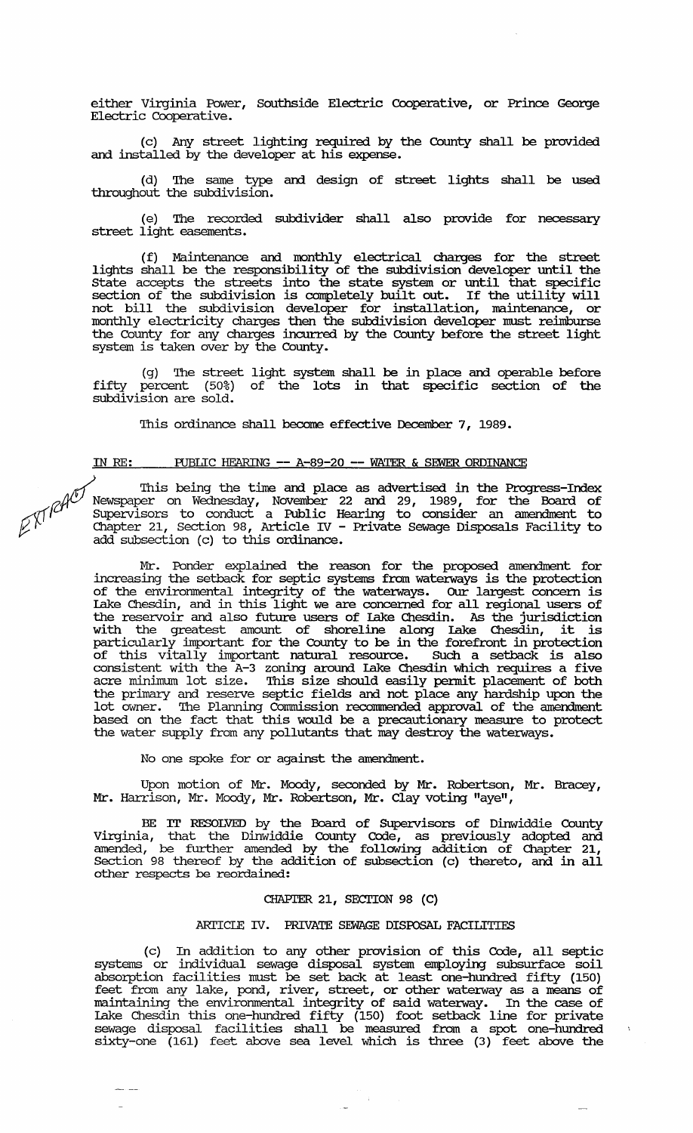either Virginia Power, Southside Electric Cooperative, or Prince George Electric Cooperative.

(c) Any street lighting required by the County shall be provided and installed by the developer at his expense.

(d) '!he same type and design of street lights shall be used throughout the subdivision.

(e) '!he recorded subdivider shall also provide for necessary street light easements.

(f) Maintenance and monthly electrical charges for the street lights shall be the responsibility of the subdivision developer until the state accepts the streets into the state system or until that specific section of the subdivision is completely built out. If the utility will not bill the subdivision developer for installation, maintenance, or monthly electricity charges then the subdivision developer must reimburse the County for any charges incurred by the County before the street light system is taken over by the County.

(g) '!he street light system shall be in place and operable before fifty percent (50%) of the lots in that specific section of the sUbdivision are sold.

This ordinance shall become effective December 7, 1989.

# IN RE: PUBLIC HEARING **--** A-89-20 **--** WATER & SEWER ORDINANCE

This being the time and place as advertised in the Progress-Index<br>Newspaper on Wednesday, November 22 and 29, 1989, for the Board of<br>Supervisors to conduct a Public Hearing to consider an amendment to<br>Chapter 21 Section 9  $\beta^{\mathcal{N}}$  Chapter 21, Section 98, Article IV - Private Sewage Disposals Facility to add subsection (c) to this ordinance.

> Mr. Ponder explained the reason for the proposed amendment for increasing the setback for septic systems from waterways is the protection of the environmental integrity of the water:ways. OUr largest concern is Lake Chesdin, and in this light we are concerned for all regional users of the reservoir and also future users of Lake Chesdin. As the jurisdiction with the greatest amount of shoreline along Lake Chesdin, it is particularly important for the County to be in the forefront in protection of this vitally important natural resource. SUch a setback is also consistent with the A-3 zoning around Lake Chesdin which requires a five acre minimum lot size. This size should easily permit placement of both the primary and reserve septic fields and not place any hardship upon the lot owner. '!he Planning Commission reconnnended approval of the amendment based on the fact that this would be a precautionary measure to protect the water supply from any pollutants that may destroy the waterways.

No one spoke for or against the amendment.

Upon motion of Mr. Moody, seconded by Mr. Robertson, Mr. Bracey, Mr. Harrison, Mr. Moody, Mr. Robertson, Mr. Clay voting "aye",

BE IT RESOLVED by the Board of Supervisors of Dinwiddie County Virginia, that the Dinwiddie County Code, as previously adopted and amended, be further amended by the following addition of Chapter 21, Section 98 thereof by the addition of subsection (c) thereto, and in all other respects be reordained:

# CHAPTER 21, SECTION 98 (C)

# ARI'ICLE IV. PRIVATE SEWAGE DISrosAL FACILITIES

(c) In addition to any other provision of this Code, all septic systems or individual sewage disposal system employing subsurface soil abso:rption facilities must be set back at least one-hundred fifty (150) feet from any lake, pond, river, street, or other water:way as a means of maintaining the environmental integrity of said waterway. In the case of Lake Chesdin this one-hundred fifty (150) foot setback line for private sewage disposal facilities shall be measured from a spot one-hundred sixty-one (161) feet above sea level which is three (3) feet above the

 $\langle \rangle$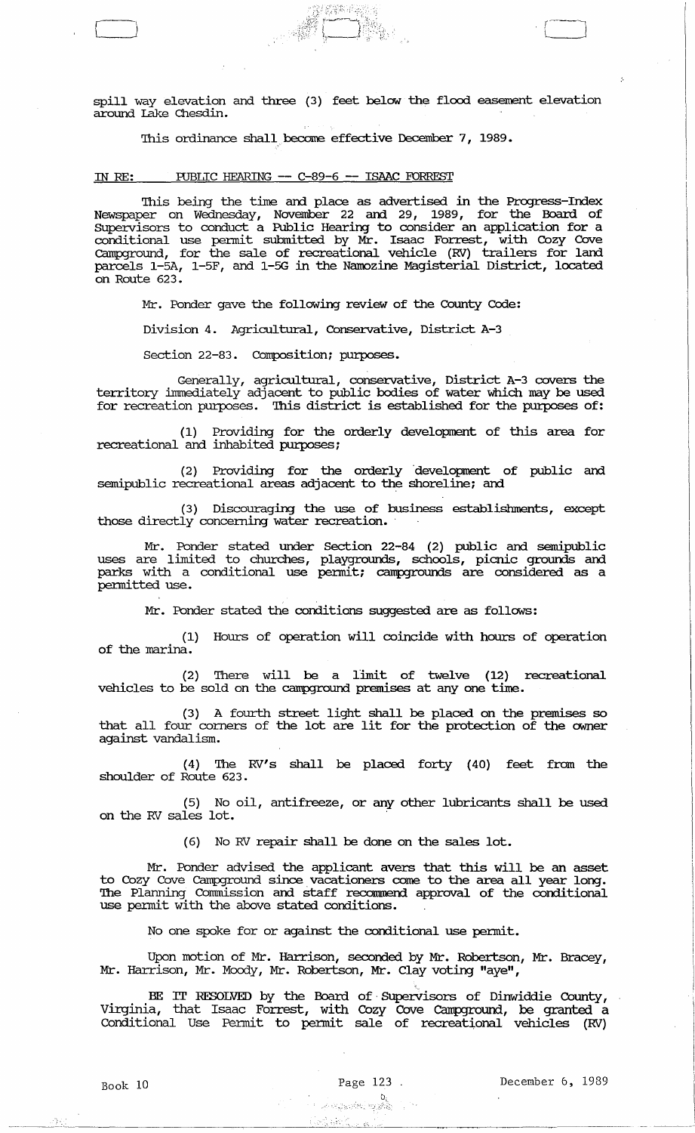spill way elevation and three (3) feet below the flood easement elevation around Lake Chesdin.

company of the set of the set of the set of the set of the set of the set of the set of the set of the set of the set of the set of the set of the set of the set of the set of the set of the set of the set of the set of th

This ordinance shall become effective December 7, 1989.

# IN RE: PUBLIC HEARING -- C-89-6 -- ISAAC FORREST

'Ibis being the time and place as advertised in the Progress-Index Newspaper on Wednesday, November 22 and 29, 1989, for the Board of SUpervisors to conduct a Public Hearing to consider an application for a conditional use pennit submitted by Mr. Isaac Forrest, with Cozy Cove Camporound, for the sale of recreational vehicle (RV) trailers for land parcels 1-5A, 1-5F, and I-SG in the Namozine Magisterial District, located on Route 623.

Mr. Ponder gave the following review of the County Code:

Division 4. Agricultural, Conservative, District A-3

Section 22-83. Composition; purposes.

Generally, agricultural, conservative, District A-3 covers the territory immediately adjacent to public bodies of water which may be used for recreation purposes. This district is established for the purposes of:

(1) Providing for the orderly development of this area for recreational and inhabited purposes;

(2) Providing for the orderly development of public and semipublic recreational areas adjacent to the shoreline; and

(3) Discouraging the use of business establishments, except those directly concerning water recreation.

Mr. Ponder stated under Section 22-84 (2) public and semipublic uses are limited to churches, playgrounds, schools, picnic grounds and parks with a conditional use pennit; campgrounds are considered as a pennitted use.

Mr. Ponder stated the conditions suggested are as follows:

(1) Hours of operation will coincide with hours of operation of the marina.

(2) There will be a limit of twelve (12) recreational vehicles to be sold on the campground premises at anyone time.

(3) A fourth street light shall be placed on the premises so that all four corners of the lot are lit for the protection of the owner against vandalism.

(4) The RV's shall be placed forty (40) feet from the shoulder of Route 623.

(5) No oil, antifreeze, or any other lubricants shall be used on the RV sales lot.

(6) No RV repair shall be done on the sales lot.

Mr. Ponder advised the applicant avers that this will be an asset to Cozy Cove Campground since vacationers come to the area all year long. 'Ibe Planning Commission and staff reconunend approval of the conditional use pennit with the above stated conditions.

No one spoke for or against the conditional use pennit.

Upon motion of Mr. Harrison, seconded by Mr. Robertson, Mr. Bracey, Mr. Harrison, Mr. Moody, Mr. Robertson, Mr. Clay voting "aye",

BE IT RESOLVED by the Board of Supervisors of Dinwiddie County, Virginia, that Isaac Forrest, with Cozy Cove campground, be granted a Conditional Use Permit to pennit sale of recreational vehicles (RV)

 $\mathcal{D}_{\mathcal{X}}$ 

 $\frac{1}{2}$  is

 $\mathcal{O}_\mathcal{C}$  . The set of the set of the set of the set of the set of the set of the set of the set of the set of the set of the set of the set of the set of the set of the set of the set of the set of the set of the se

 $.$  :  $.$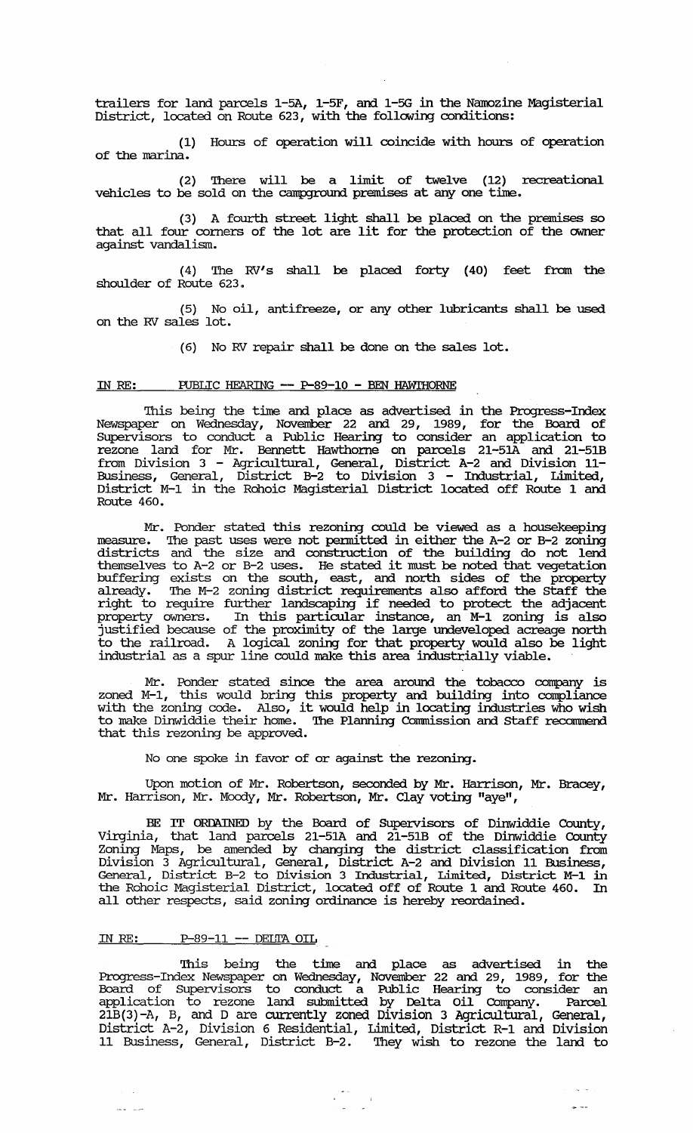trailers for land parcels 1-5A, 1-5F, and 1-5G in the Namozine Magisterial District, located on Route 623, with the following conditions:

(1) Hours of operation will coincide with hours of operation of the marina.

(2) There will be a limit of twelve (12) recreational vehicles to be sold on the campground premises at any one time.

(3) A fourth street light shall be placed on the premises so that all four corners of the lot are lit for the protection of the owner against vandalism.

(4) The RV's shall be placed forty (40) feet from the shoulder of Route 623.

(5) No oil, antifreeze, or any other lubricants shall be used on the RY sales lot.

(6) No RV repair shall be done on the sales lot.

# IN RE: PUBLIC HEARING -- P-89-10 - BEN HAWIHORNE

This being the time and place as advertised in the Progress-Index Newspaper on Wednesday, November 22 and 29, 1989, for the Board of SUpervisors to conduct a Public Hearing to consider an application to rezone land for Mr. Bennett Hawthorne on parcels 21-51A and 21-51B from Division 3 - Agricultural, General, District A-2 and Division 11- Business, General, District B-2 to Division 3 - Industrial, Limited, District M-1 in the Rohoic Magisterial District located off Route 1 and Route 460.

Mr. Ponder stated this rezoning could be viewed as a housekeeping measure. The past uses were not permitted in either the A-2 or B-2 zoning districts and the size and construction of the building do not lend themselves to A-2 or B-2 uses. He stated it must be noted that vegetation buffering exists on the south, east, and north sides of the property already. The M-2 zoning district requirements also afford the Staff the arready. The H-2 zoning district requirements also arrord the starf the right to require further landscaping if needed to protect the adjacent property owners. In this particular instance, an M-1 zoning is also justified because of the proximity of the large undeveloped acreage north to the railroad. A logical zoning for that property would also be light industrial as a spur line could make this area industrially viable.

Mr. Ponder stated since the area around the tobacco company is zoned M-1, this would bring this property and building into compliance with the zoning code. Also, it would help in locating industries who wish to make Dinwiddie their home. The Planning Commission and Staff recommend that this rezoning be approved.

No one spoke in favor of or against the rezoning.

Upon motion of Mr. Robertson, seconded by Mr. Harrison, Mr. Bracey, Mr. Harrison, Mr. Moody, Mr. Robertson, Mr. Clay voting "aye",

BE IT ORDAINED by the Board of SUpervisors of Dinwiddie County, Virginia, that land parcels 21-51A and 21-51B of the Dinwiddie County Zoning Maps, be amended by changing the district classification from Division 3 Agricultural, General, District A-2 and Division 11 Business, General, District B-2 to Division 3 Industrial, Limited, District M-l in the Rohoic Magisterial District, located off of Route 1 and Route 460. In all other respects, said zoning ordinance is hereby reordained.

#### <u>IN RE: P-89-11 -- DELTA OIL</u>

 $\sim 1.4$ 

This being the time and place as advertised in the Progress-Index Newspaper on Wednesday, November 22 and 29, 1989, for the Board of SUpervisors to conduct a Public Hearing to consider an application to rezone land submitted by Delta Oil Company. Parcel  $2\overline{1}B(3)$  -A, B, and D are currently zoned Division 3 Agricultural, General, District A-2, Division 6 Residential, Limited, District R-1 and Division 11 Business, General, District B-2. They wish to rezone the land to

 $\begin{array}{cc} \mathbf{1} & \mathbf{1} & \mathbf{1} \\ \mathbf{1} & \mathbf{1} & \mathbf{1} \\ \mathbf{1} & \mathbf{1} & \mathbf{1} \\ \mathbf{1} & \mathbf{1} & \mathbf{1} \end{array}$ 

 $\bar{\omega}$  as

 $\rightarrow$   $-$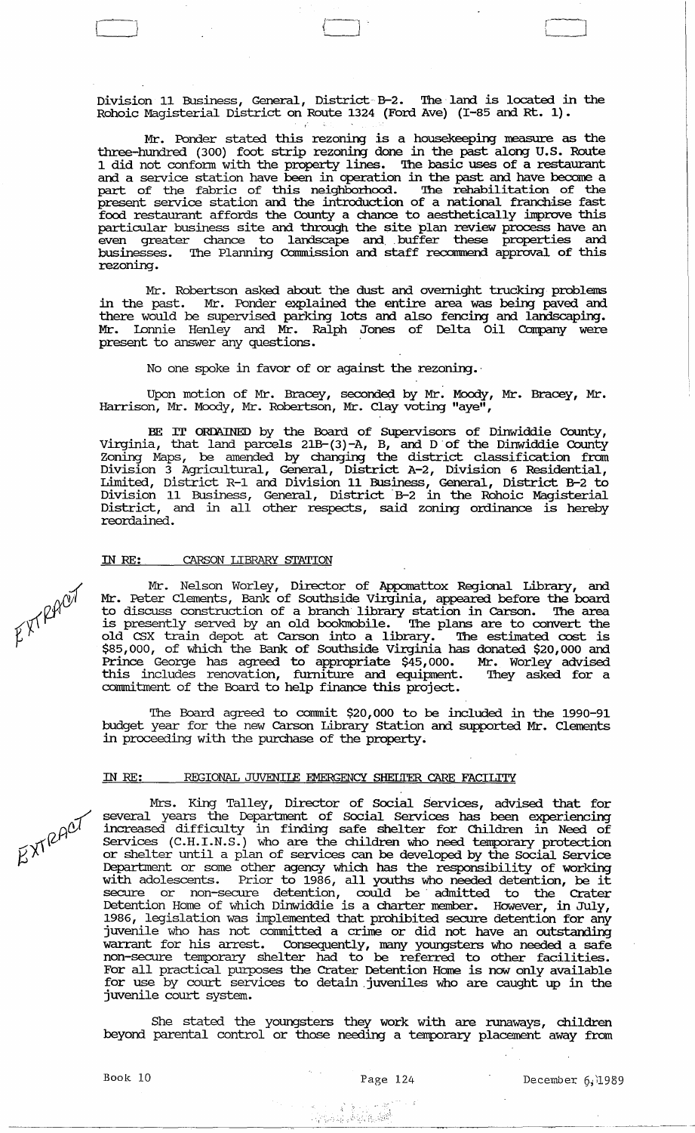Division 11 Business, General, District- B-2. The land is located in the Rohoic Magisterial District on Route 1324 (Ford Ave) (I-85 and Rt. 1).

 $\Box$ 

Mr. Ponder stated this rezoning is a housekeeping measure as the three-hundred (300) foot strip rezoning done in the past along u.s. Route 1 did not conform with the property lines. The basic uses of a restaurant and a service station have been in operation in the past and have become a part of the fabric of this neighborhood. The rehabilitation of the present service station and the introduction of a national franchise fast food restaurant affords the County a chance to aesthetically improve this particular business site and through the site plan review process have an even greater chance to landscape and buffer these properties and businesses. '!he Planning Commission and staff recommend approval of this rezoning.

Mr. Robertson asked about the dust and overnight trucking problems in the past. Mr. Ponder explained the entire area was being paved and there would be supervised parking lots and also fencing and landscaping. Mr. lonnie Henley and Mr. Ralph Jones of Delta Oil Company were present to answer any questions.

No one spoke in favor of or against the rezoning.

Upon motion of Mr. Bracey, seconded by Mr. Moody, Mr. Bracey, Mr. Harrison, Mr. Moody, Mr. Robertson, Mr. Clay voting "aye",

BE IT ORDAINED by the Board of Supervisors of Dinwiddie County, Virginia, that land parcels  $21B-(3)-A$ , B, and D of the Dinwiddie County Zoning Maps, be amended by changing the district classification from Division 3 Agricultural, General, District A-2, Division 6 Residential, Limited, District R-l and Division 11 Business, General, District B-2 to Division 11 Business, General, District B-2 in the Rohoic Magisterial District, and in all other respects, said zoning ordinance is hereby reordained.

### IN RE: CARSON LIBRARY STATION

Mr. Nelson Worley, Director of Appomattox Regional Library, and Mr. Peter Clements, Bank of Southside Virginia, appeared before the board to discuss construction of a branch library station in Carson. The area is presently served by an old bookmobile. The plans are to convert the is presently served by an old bookmobile. '!he plans are to convert the old CSX train depot at Carson into a library. The estimated cost is \$85,000, of which the Bank of Southside Virginia has donated \$20,000 and Prince George has agreed to appropriate \$45,000. Mr. Worley advised this includes renovation, furniture and equipment. '!hey asked for a commitment of the Board to help finance this project.

The Board agreed to commit \$20,000 to be included in the 1990-91 budget year for the new Carson Library station and supported Mr. Clements in proceeding with the purchase of the property.

# IN RE: REGIONAL JUVENILE EMERGENCY SHELTER CARE FACILITY

Mrs. King Talley, Director of Social services, advised that for several years the Department of Social Services has been experiencing increased difficulty in finding safe shelter for Children in Need of services (C.H.I.N.S.) who are the children who need temporary protection or shelter until a plan of services can be developed by the Social Service Department or some other agency which has the responsibility of working with adolescents. Prior to 1986, all youths who needed detention, be it secure or non-secure detention, could be' admitted to the Crater Detention Home of which Dinwiddie is a charter member. However, in July, 1986, legislation was linplemented that prohibited secure detention for any juvenile who has not committed a crime or did not have an outstanding warrant for his arrest. Consequently, many youngsters who needed a safe non-secure temporary shelter had to be referred to other facilities. For all practical purposes the Crater Detention Home is now only available for use by court services to detain juveniles who are caught up in the juvenile court system.

She stated the youngsters they work with are runaways, children beyond parental control or those needing a temporary placement away from

 $\sim 1.4$ 

 $E^{XY}$ RAOT

 $L_X$  $R$  $R$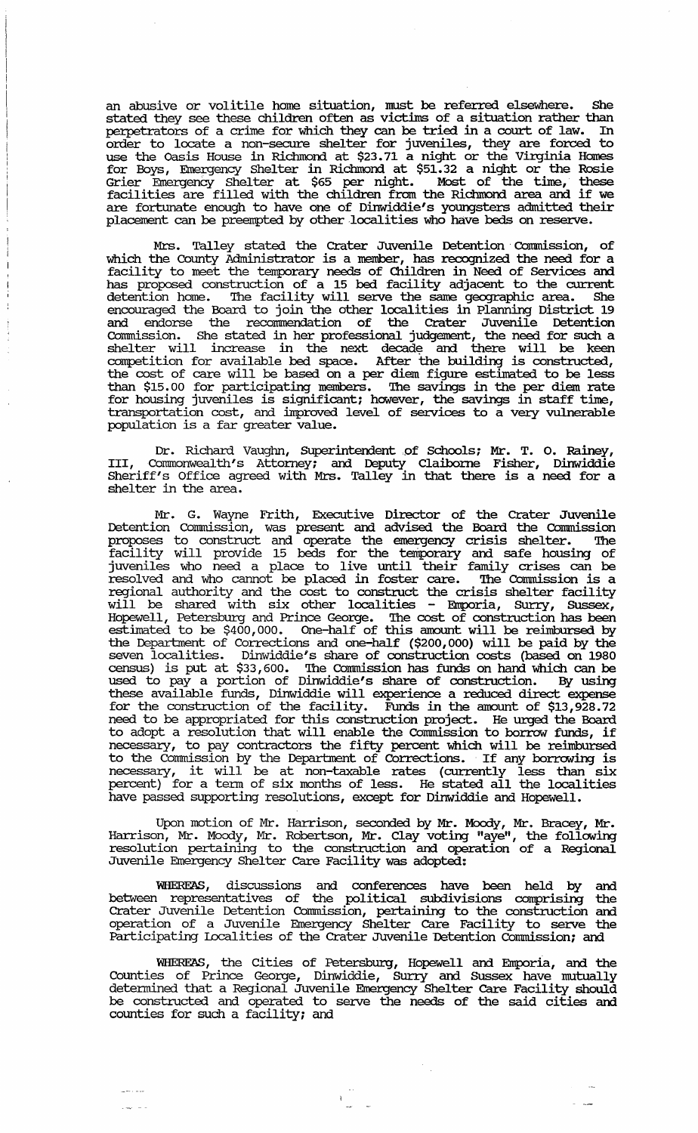an abusive or volitile home situation, must be referred elsewhere. She stated they see these children often as victims of a situation rather than perpetrators of a crime for which they can be tried in a court of law. In order to locate a non-secure shelter for juveniles, they are forced to use the Oasis House in Richmond at \$23.71 a night or the virginia Homes for Boys, Emergency Shelter in Richmond at \$51.32 a night or the Rosie Grier Emergency Shelter at \$65 per night. Most of the time, these facilities are filled with the children from the Richmond area and if we are fortunate enough to have one of Dinwiddie's youngsters admitted their placement can be preempted by other localities who have beds on reserve.

Mrs. Talley stated the Crater Juvenile Detention' Commission, of which the County Administrator is a member, has recognized the need for a facility to meet the temporary needs of Children in Need of Services and has proposed construction of a 15 bed facility adjacent to the current detention home. The facility will serve the same geographic area. She encouraged the Board to join the other localities in Planning District 19 and endorse the recommendation of the Crater Juvenile Detention Commission. She stated in her professional judgement, the need for such a shelter will increase in the next decade and there will be keen competition for available bed space. After the building is constructed, the cost of care will be based on a per diem figure estimated to be less than \$15.00 for participating members. 'Ihe savings in the per diem rate for housing juveniles is significant; however, the savings in staff time, transportation cost, and improved level of services to a very vulnerable population is a far greater value.

Dr. Richard Vaughn, Superintendent of Schools; Mr. T. O. Rainey, III, Commonwealth's Attorney; and Deputy Claiborne Fisher, Dinwiddie Sheriff's Office agreed with Mrs. Talley in that there is a need for a shelter in the area.

Mr. G. Wayne Frith, Executive Director of the Crater Juvenile Detention Conrrnission, was present and advised the Board the Commission proposes to construct and operate the emergency crisis shelter. 'Ihe facility will provide 15 beds for the temporary and safe housing of juveniles who need a place to live until their family crises can be resolved and who cannot be placed in foster care. The Commission is a regional authority and the cost to construct the crisis shelter facility will be shared with six other localities - Emporia, Surry, Sussex, Hopewell, Petersburg and Prince George. 'Ihe cost of construction has been estimated to be \$400,000. One-half of this amount will be reimbursed by the Department of Corrections and one-half (\$200,000) will be paid by the seven localities. Dinwiddie's share of construction costs (based on 1980 census) is put at \$33,600. 'Ihe Conrrnission has funds on hand which can be used to pay a portion of Dinwiddie's share of construction. By using these available ftmds, Dinwiddie will experience a reduced direct expense for the construction of the facility. Funds in the amount of \$13,928.72 need to be appropriated for this construction project. He urged the Board to adopt a resolution that will enable the Commission to borrow funds, if necessary, to pay contractors the fifty percent which will be reimbursed to the Commission by the Department of Corrections. If any borrowing is necessary, it will be at non-taxable rates (currently less than six percent) for a tenn of six months of less. He stated all the localities have passed supporting resolutions, except for Dinwiddie and Hopewell.

Upon motion of Mr. Harrison, seconded by Mr. Moody, Mr. Bracey, Mr. Harrison, Mr. Moody, Mr. Robertson, Mr. Clay voting "aye", the following resolution pertaining to the construction and operation of a Regional Juvenile Emergency Shelter Care Facility was adopted:

WHEREAS, discussions and conferences have been held by and between representatives of the political subdivisions comprising the Crater Juvenile Detention Commission, pertaining to the construction and operation of a Juvenile Emergency Shelter Care Facility to serve the Participating Localities of the Crater Juvenile 'Detention commission; and

WHEREAS, the Cities of Petersburg, Hopewell and Emporia, and the Counties of Prince George, Dinwiddie, SUrry and SUssex have mutually detennined that a Regional Juvenile Emergency Shelter Care Facility should be constructed and operated to serve the needs of the said cities and counties for such a facility; and

 $- - \cdot -$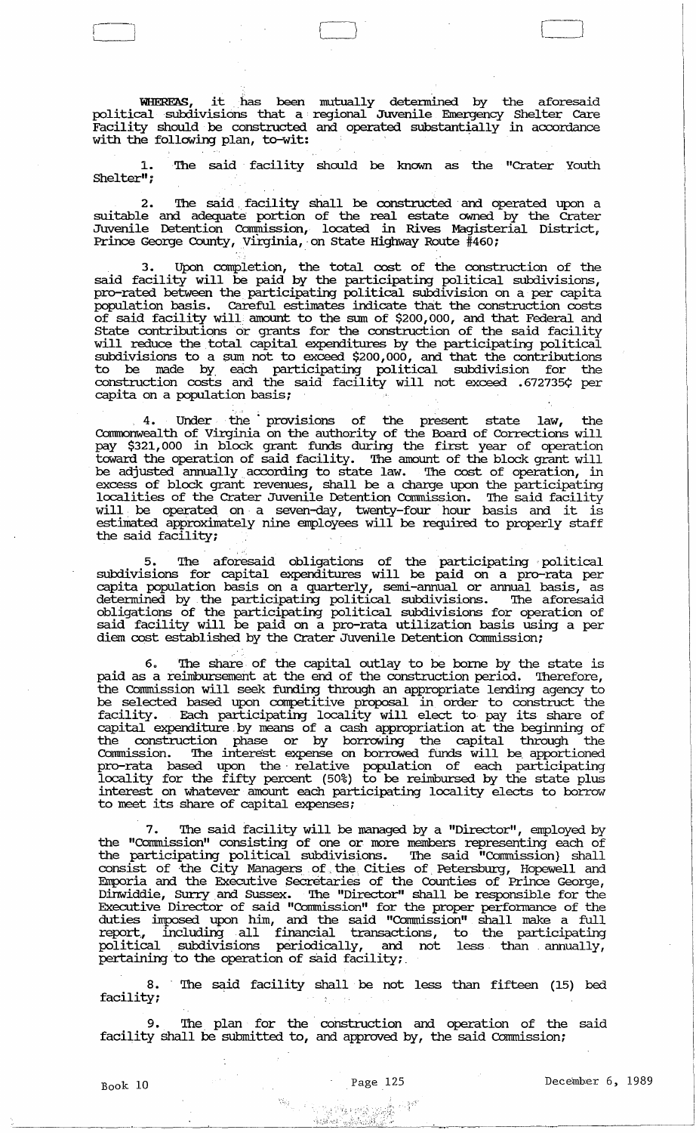WIIERE2\S, it has been mutually determined by the aforesaid  $p$ olitical subdivisions that a regional Juvenile Emergency Shelter Care Facility should be constructed and operated substantially in accordance with the following plan, to-wit:

L I CJ [ J

The said facility should be known as the "Crater Youth Shelter";

2. The said facility shall be constructed and operated upon a suitable and adequate portion of the real estate owned by the Crater Juvenile Detention Commission, located in Rives Magisterial District, Prince George County, Virginia, on State Highway Route #460;

3. Upon completion, the total cost of the construction of the said facility will be paid by the participating political subdivisions, pro-rated between the participating political subdivision on a per capita population basis. Careful estimates indicate that the construction costs of said facility will amount to the sum of \$200,000, and that Federal and State contributions or grants for the construction of the said facility will reduce the total capital expenditures by the participating political subdivisions to a sum not to exceed \$200,000, and that the contributions to be made by. each participating political subdivision for the construction costs and the said facility will not exceed .672735¢ per capita on a population basis;

4. Under the' provisions of the present state law, the Connnonweal th of Virginia on the authority of the Board of Corrections will pay \$321,000 in block. grant funds during the first year of operation toward the operation of said facility. The amount of the block. grant will be adjusted annually according to state law. The cost of operation, in excess of block. grant revenues, shall be a charge upon the participating localities of the Crater Juvenile Detention Commission. The said facility will. be operated on· a seven-day, twenty-four hour basis and it is estimated approximately nine employees will be required to properly staff the said facility;

5. The aforesaid obligations of the participating political subdivisions for capital expenditures will be paid on a pro-rata per capita population basis on a quarterly, semi -annual or annual basis, as detennined by. the participating political subdivisions. The aforesaid Obligations of the participating political subdivisions for operation of said facility will be paid on a pro-rata utilization basis using a per diem cost established by the Crater Juvenile Detention Commission;

6. The share of the capital outlay to be borne by the state is paid as a reimbursement at the end of the construction period. Therefore, the Commission will seek funding through an appropriate lending agency to be selected based upon competitive proposal in order to construct the facility. Each participating locality will elect to pay its share of capital expenditure. by means of a cash appropriation at the beginning of the construction phase or by borrowing the capital through the Commission. The interest expense on borrowed fUnds will be. apportioned pro-rata based upon the· relative population of each participating locality for the fifty percent (50%) to be reimbursed by the state plus interest on whatever amount each participating locality elects to borrow to meet its share of capital expenses;

The said facility will be managed by a "Director", employed by the "Commission" consisting of one or more members representing each of the participating political subdivisions. The said "Commission} shall consist of the City Managers of the Cities of Petersburg, Hopewell and Emporia and the Executive secretaries of the Counties of Prince George, Dinwiddie, SUrry and Sussex. The "Director" shall be responsible for the Executive Director of said "Commission" for the proper perfonnance of the duties linposed upon him, and the said "Conunission" shall make a full report, including all financial transactions, to the participating political ,subdivisions periodiCally, and not less than. annually, pertaining to the operation of said facility;.

8. The said facility shall be not less than fifteen (15) bed facility;  $\ddot{\gamma}$ 

The plan for the construction and operation of the said facility shall be submitted to, and approved by, the said Commission;

.:;',;,:;~ .. ;'J .

r-i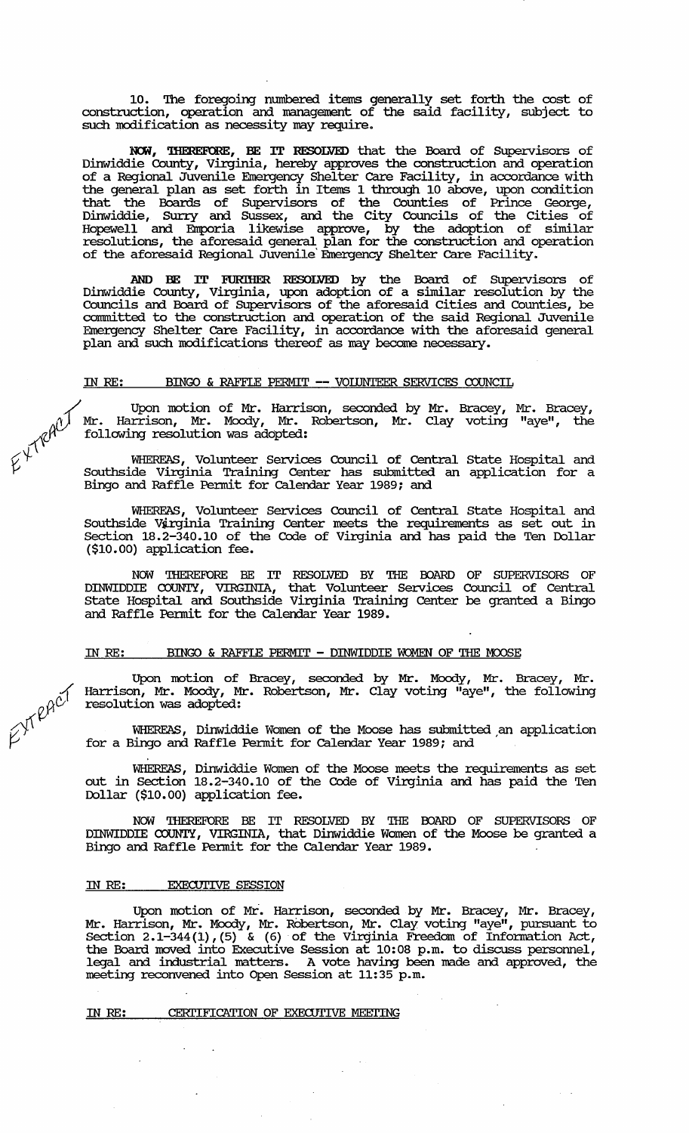10. The foregoing numbered items generally set forth the cost of construction, operation and management of the said facility, subject to such modification as necessity may require.

NOW, THEREFORE, BE IT RESOLVED that the Board of Supervisors of Dinwiddie County, Virginia, hereby approves the construction and operation of a Regional Juvenile Emergency Shelter care Facility, in accordance with the general plan as set forth in Items 1 through 10 above, upon condition that the Boards of SUpervisors of the Counties of Prince George, Dinwiddie, Surry and Sussex, and the City Councils of the Cities of Hopewell and Emporia likewise approve, by the adoption of similar resolutions, the aforesaid general plan for the construction and operation of the aforesaid Regional Juvenile' Emergency Shelter care Facility.

AND BE IT EURIHER. RESOLVED by the Board of SUpervisors of Dinwiddie County, Virginia, upon adoption of a similar resolution by the Councils and Board of SUpervisors of the aforesaid cities and Counties, be connnitted to the construction and operation of the said Regional Juvenile Emergency Shelter care Facility, in accordance with the aforesaid general plan and such modifications thereof as may become necessary.

# IN *RE:* BINGO & RAFFLE PERMIT **--** VOIDNTEER SERVICES COUNCIL

Upon motion of Mr. Harrison, seconded by Mr. Bracey, Mr. Bracey,  $\gamma$ ) Mr. Harrison, Mr. Moody, Mr. Robertson, Mr. Clay voting "aye", the following resolution was adopted:

 $\varphi^{\vee}$  . WHEREAS, Volunteer Services Council of Central State Hospital and *V* Southside Virginia Training Center has submitted an application for a Bingo and Raffle Permit for calendar Year 1989; and

> WHEREAS, Volunteer Services Council of Central State Hospital and Southside Virginia Training Center meets the requirements as set out in Section 18.2-340.10 of the Code of Virginia and has paid the Ten Dollar (\$10.00) application fee.

> NOW THEREFORE BE IT RESOLVED BY THE FOARD OF SUPERVISORS OF DINWIDDIE COUNTY, VIRGINIA, that Volunteer Services Council of Central State Hospital and Southside Virginia Training Center be granted a Bingo and Raffle Permit for the calendar Year 1989.

#### IN RE: BINGO & RAFFLE PERMIT - DINWIDDIE WOMEN OF THE MOOSE

Upon motion of Bracey, seconded by Mr. Moody, Mr. Bracey, Mr. Harrison, Mr. Moody, Mr. Robertson, Mr. Clay voting "aye", the following resolution was adopted:

WHEREAS, Dinwiddie Women of the Moose has submitted an application for a Bingo and Raffle Permit for calendar Year 1989; and

WHEREAS, Dinwiddie Women of the Moose meets the requirements as set out in Section 18.2-340.10 of the Code of Virginia and has paid the Ten Dollar (\$10.00) application fee.

NOW THEREFORE BE IT RESOLVED BY THE FOARD OF SUPERVISORS OF DINWIDDIE COUNTY, VIRGINIA, that Dinwiddie Women of the Moose be granted a Bingo and Raffle Permit for the calendar Year 1989.

#### IN RE: **EXECUTIVE SESSION**

Upon motion of Mr. Harrison, seconded by Mr. Bracey, Mr. Bracey, Mr. Harrison, Mr. Moody, Mr. Robertson, Mr. Clay voting "aye", pursuant to Section 2.1-344(1), (5) & (6) of the Virginia Freedom of Infonnation Act, the Board moved into Executive Session at 10:08 p.m. to discuss personnel, legal and industrial matters. A vote having been made and approved, the meeting reconvened into Open Session at 11:35 p.m.

#### IN RE: CERTIFICATION OF EXECUTIVE MEETING

./.  $\alpha$ <sup> $c$ </sup>'  $ZY$ 

 $E^{Y^{\text{real}}^{\text{real}}}$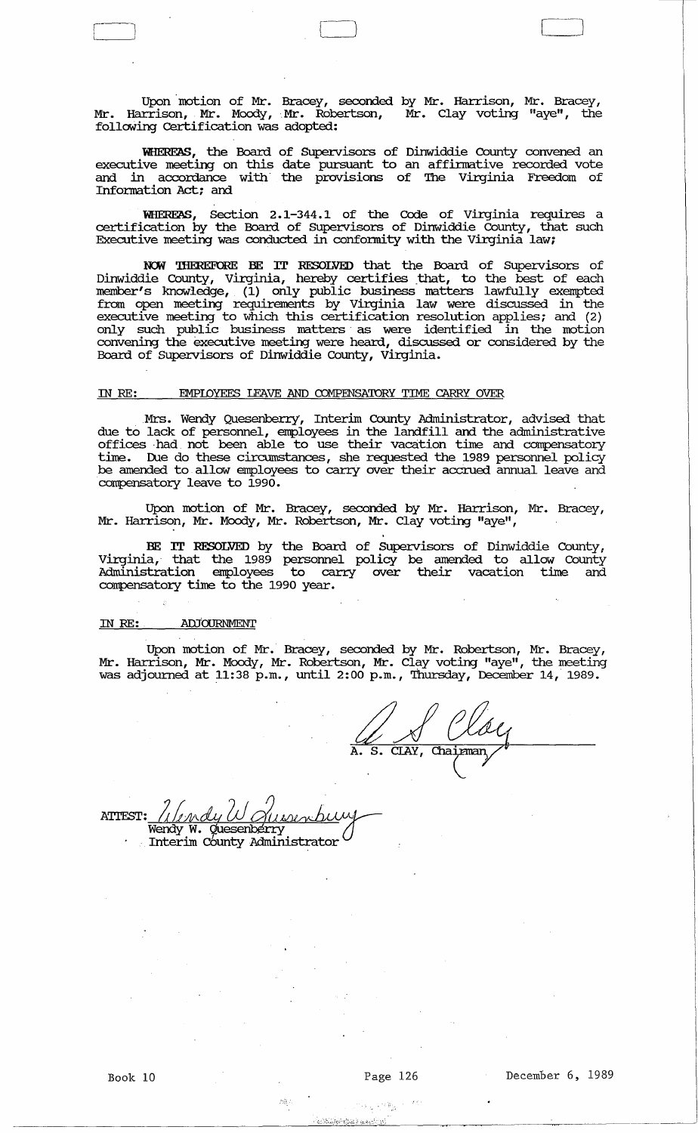Upon 'motion of Mr. Bracey, seconded by Mr. Harrison, Mr. Bracey, Mr. Harrison, Mr. Moody, Mr. Robertson, Mr. Clay voting "aye", the folloWing Certification was adopted:

L ) Cl C]

WHEREAS, the Board of Supervisors of Dinwiddie County convened an executive meeting on this date pursuant to an affinnative recorded vote and in accordance with the provisions of 'Ihe Virginia Freedom of Information Act; and

WHEREAS, Section 2.1-344.1 of the Code of Virginia requires a certification by the Board of Supervisors of Dinwiddie County, that such Executive meeting was conducted in conformity with the Virginia law;

NOW THEREFORE BE IT RESOLVED that the Board of Supervisors of Dinwiddie County, Virginia, hereby certifies that, to the best of each member's knowledge, (1) only public business matters lawfully exempted from open meeting requirements by Virginia law were discussed in the executive meeting to which this certification resolution applies; and (2) only such public business matters· as were identified in the motion convening the executive meeting were heard, discussed or considered by the Board of Supervisors of Dinwiddie County, Virginia.

#### IN RE: EMPIOYEES LEAVE AND COMPENSATORY TIME CARRY OVER

.Mrs. Wendy Quesenberry, Interim County Administrator, advised that due to lack of persormel, employees in the landfill and the administrative offices . had . not been able to use their vacation time and compensatory time. Due do these circumstances, she requested the 1989 personnel policy be amended to allow employees to carry over their accrued annual leave and compensatory leave to 1990.

Upon motion of Mr. Bracey, seconded by Mr. Harrison, Mr. Bracey, Mr. Harrison, Mr. Moody, Mr. Robertson, Mr. Clay voting "aye",

BE IT RESOLVED by the Board of Supervisors of Dinwiddie County, Virginia, that the 1989 persormel policy be amended to allow County Administration employees to carry over their vacation time and compensatory time to the 1990 year.

#### IN RE: AIDOURNMENT

 $\begin{array}{c} \hline \end{array}$ 

Upon motion of Mr. Bracey, seconded by Mr. Robertson, Mr. Bracey, Mr. Harrison, Mr. Moody, Mr. Robertson, Mr. Clay voting "aye", the meeting was adjomned at 11:38 p.m., until 2:00 p.m., Thursday, December 14, 1989.

A. De Sloy

ATTEST: Wendy EST: <u>Alendy W Quesenberry</u><br>Wendy W. Quesenberry<br>Interim County Administrator

杨景县

تريهها أعوتها بالأر